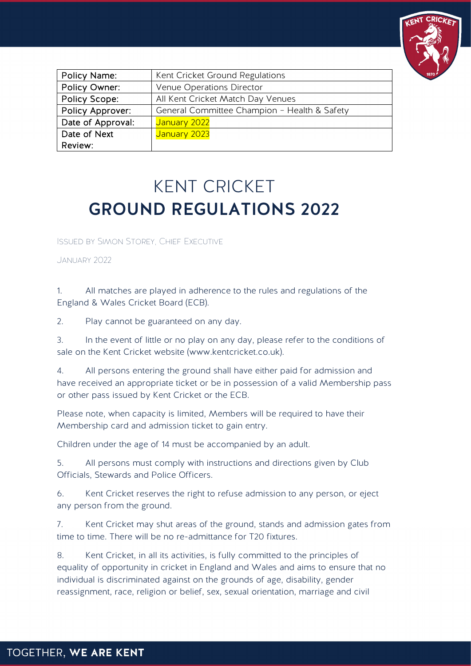

| Policy Name:      | Kent Cricket Ground Regulations              |
|-------------------|----------------------------------------------|
| Policy Owner:     | Venue Operations Director                    |
| Policy Scope:     | All Kent Cricket Match Day Venues            |
| Policy Approver:  | General Committee Champion - Health & Safety |
| Date of Approval: | January 2022                                 |
| Date of Next      | January 2023                                 |
| Review:           |                                              |

## KENT CRICKET GROUND REGULATIONS 2022

Issued by Simon Storey, Chief Executive

January 2022

1. All matches are played in adherence to the rules and regulations of the England & Wales Cricket Board (ECB).

2. Play cannot be guaranteed on any day.

3. In the event of little or no play on any day, please refer to the conditions of sale on the Kent Cricket website (www.kentcricket.co.uk).

4. All persons entering the ground shall have either paid for admission and have received an appropriate ticket or be in possession of a valid Membership pass or other pass issued by Kent Cricket or the ECB.

Please note, when capacity is limited, Members will be required to have their Membership card and admission ticket to gain entry.

Children under the age of 14 must be accompanied by an adult.

5. All persons must comply with instructions and directions given by Club Officials, Stewards and Police Officers.

6. Kent Cricket reserves the right to refuse admission to any person, or eject any person from the ground.

7. Kent Cricket may shut areas of the ground, stands and admission gates from time to time. There will be no re-admittance for T20 fixtures.

8. Kent Cricket, in all its activities, is fully committed to the principles of equality of opportunity in cricket in England and Wales and aims to ensure that no individual is discriminated against on the grounds of age, disability, gender reassignment, race, religion or belief, sex, sexual orientation, marriage and civil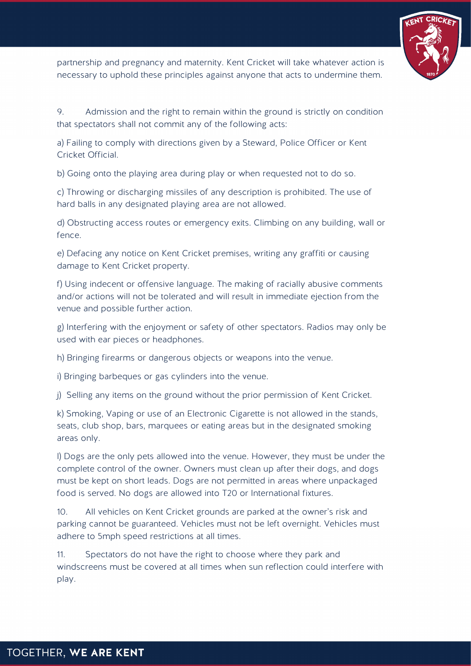

partnership and pregnancy and maternity. Kent Cricket will take whatever action is necessary to uphold these principles against anyone that acts to undermine them.

9. Admission and the right to remain within the ground is strictly on condition that spectators shall not commit any of the following acts:

a) Failing to comply with directions given by a Steward, Police Officer or Kent Cricket Official.

b) Going onto the playing area during play or when requested not to do so.

c) Throwing or discharging missiles of any description is prohibited. The use of hard balls in any designated playing area are not allowed.

d) Obstructing access routes or emergency exits. Climbing on any building, wall or fence.

e) Defacing any notice on Kent Cricket premises, writing any graffiti or causing damage to Kent Cricket property.

f) Using indecent or offensive language. The making of racially abusive comments and/or actions will not be tolerated and will result in immediate ejection from the venue and possible further action.

g) Interfering with the enjoyment or safety of other spectators. Radios may only be used with ear pieces or headphones.

h) Bringing firearms or dangerous objects or weapons into the venue.

i) Bringing barbeques or gas cylinders into the venue.

j) Selling any items on the ground without the prior permission of Kent Cricket.

k) Smoking, Vaping or use of an Electronic Cigarette is not allowed in the stands, seats, club shop, bars, marquees or eating areas but in the designated smoking areas only.

l) Dogs are the only pets allowed into the venue. However, they must be under the complete control of the owner. Owners must clean up after their dogs, and dogs must be kept on short leads. Dogs are not permitted in areas where unpackaged food is served. No dogs are allowed into T20 or International fixtures.

10. All vehicles on Kent Cricket grounds are parked at the owner's risk and parking cannot be guaranteed. Vehicles must not be left overnight. Vehicles must adhere to 5mph speed restrictions at all times.

11. Spectators do not have the right to choose where they park and windscreens must be covered at all times when sun reflection could interfere with play.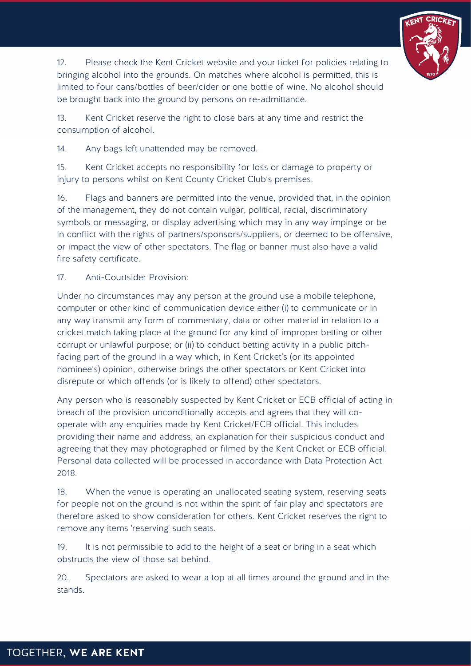

12. Please check the Kent Cricket website and your ticket for policies relating to bringing alcohol into the grounds. On matches where alcohol is permitted, this is limited to four cans/bottles of beer/cider or one bottle of wine. No alcohol should be brought back into the ground by persons on re-admittance.

13. Kent Cricket reserve the right to close bars at any time and restrict the consumption of alcohol.

14. Any bags left unattended may be removed.

15. Kent Cricket accepts no responsibility for loss or damage to property or injury to persons whilst on Kent County Cricket Club's premises.

16. Flags and banners are permitted into the venue, provided that, in the opinion of the management, they do not contain vulgar, political, racial, discriminatory symbols or messaging, or display advertising which may in any way impinge or be in conflict with the rights of partners/sponsors/suppliers, or deemed to be offensive, or impact the view of other spectators. The flag or banner must also have a valid fire safety certificate.

17. Anti-Courtsider Provision:

Under no circumstances may any person at the ground use a mobile telephone, computer or other kind of communication device either (i) to communicate or in any way transmit any form of commentary, data or other material in relation to a cricket match taking place at the ground for any kind of improper betting or other corrupt or unlawful purpose; or (ii) to conduct betting activity in a public pitchfacing part of the ground in a way which, in Kent Cricket's (or its appointed nominee's) opinion, otherwise brings the other spectators or Kent Cricket into disrepute or which offends (or is likely to offend) other spectators.

Any person who is reasonably suspected by Kent Cricket or ECB official of acting in breach of the provision unconditionally accepts and agrees that they will cooperate with any enquiries made by Kent Cricket/ECB official. This includes providing their name and address, an explanation for their suspicious conduct and agreeing that they may photographed or filmed by the Kent Cricket or ECB official. Personal data collected will be processed in accordance with Data Protection Act 2018.

18. When the venue is operating an unallocated seating system, reserving seats for people not on the ground is not within the spirit of fair play and spectators are therefore asked to show consideration for others. Kent Cricket reserves the right to remove any items 'reserving' such seats.

19. It is not permissible to add to the height of a seat or bring in a seat which obstructs the view of those sat behind.

20. Spectators are asked to wear a top at all times around the ground and in the stands.